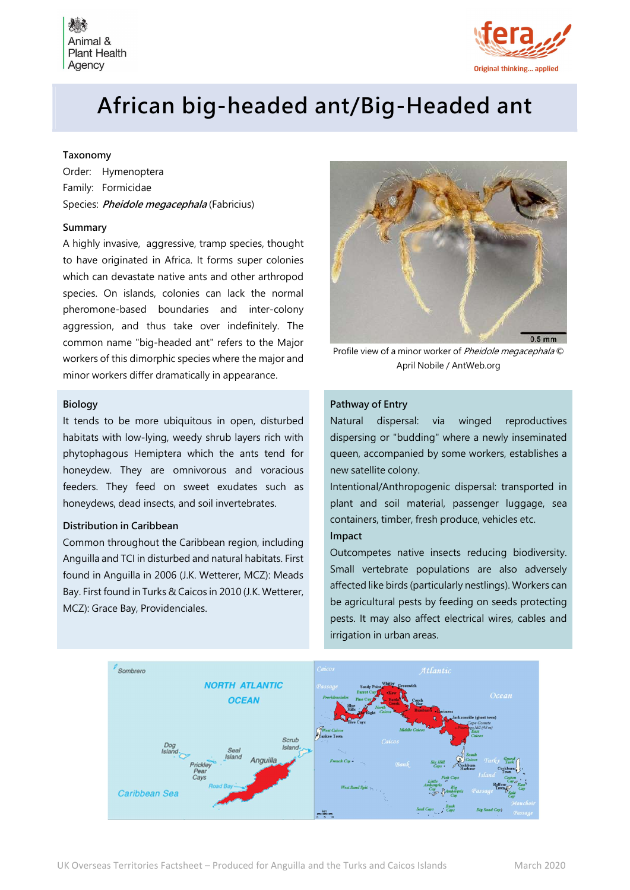



# African big-headed ant/Big-Headed ant

### Taxonomy

Order: Hymenoptera Family: Formicidae Species: *Pheidole megacephala* (Fabricius)

#### Summary

A highly invasive, aggressive, tramp species, thought to have originated in Africa. It forms super colonies which can devastate native ants and other arthropod species. On islands, colonies can lack the normal pheromone-based boundaries and inter-colony aggression, and thus take over indefinitely. The common name "big-headed ant" refers to the Major workers of this dimorphic species where the major and minor workers differ dramatically in appearance.

#### Biology

It tends to be more ubiquitous in open, disturbed habitats with low-lying, weedy shrub layers rich with phytophagous Hemiptera which the ants tend for honeydew. They are omnivorous and voracious feeders. They feed on sweet exudates such as honeydews, dead insects, and soil invertebrates.

## Distribution in Caribbean

Common throughout the Caribbean region, including Anguilla and TCI in disturbed and natural habitats. First found in Anguilla in 2006 (J.K. Wetterer, MCZ): Meads Bay. First found in Turks & Caicos in 2010 (J.K. Wetterer, MCZ): Grace Bay, Providenciales.



Profile view of a minor worker of Pheidole megacephala © April Nobile / AntWeb.org

#### Pathway of Entry

Natural dispersal: via winged reproductives dispersing or "budding" where a newly inseminated queen, accompanied by some workers, establishes a new satellite colony.

Intentional/Anthropogenic dispersal: transported in plant and soil material, passenger luggage, sea containers, timber, fresh produce, vehicles etc.

## Impact

Outcompetes native insects reducing biodiversity. Small vertebrate populations are also adversely affected like birds (particularly nestlings). Workers can be agricultural pests by feeding on seeds protecting pests. It may also affect electrical wires, cables and irrigation in urban areas.